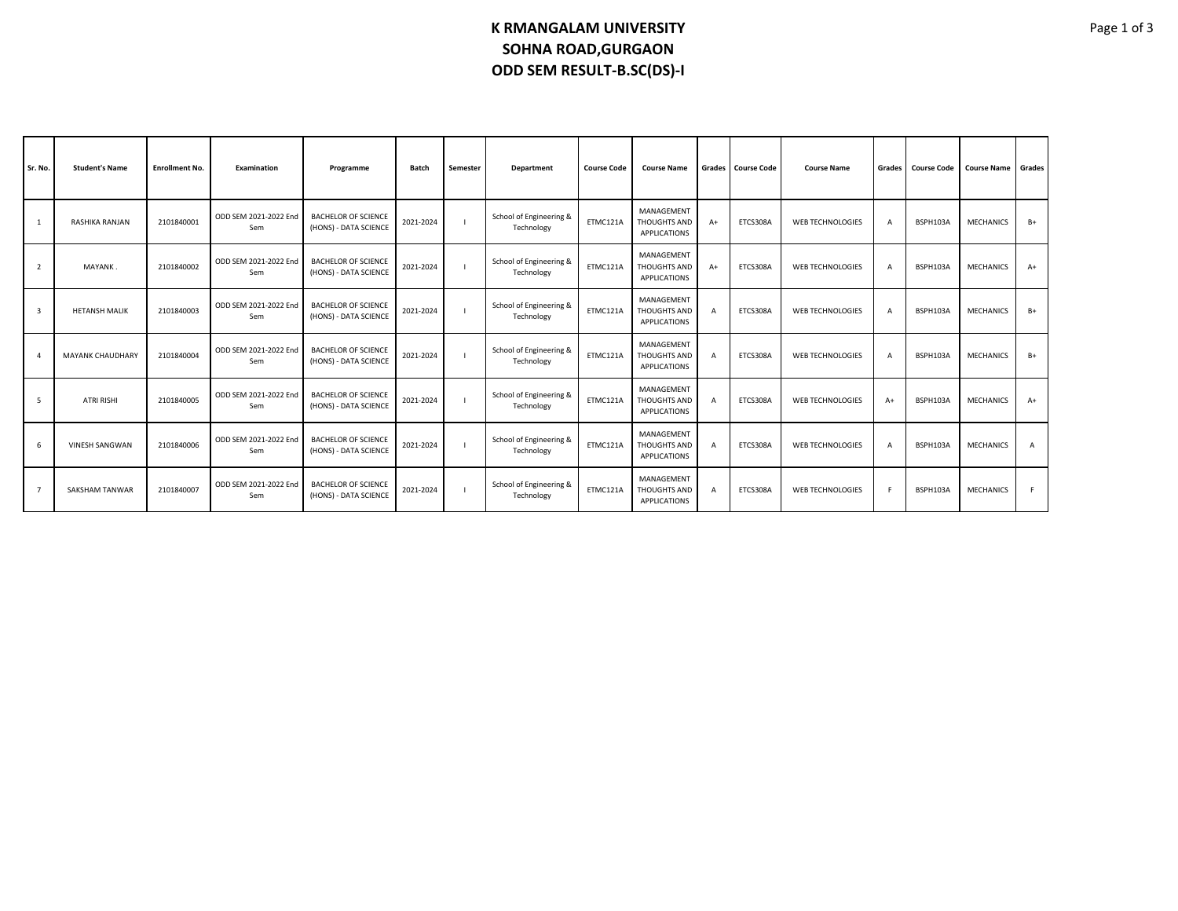## **K RMANGALAM UNIVERSITY SOHNA ROAD,GURGAON ODD SEM RESULT-B.SC(DS)-I**

| Sr. No.        | <b>Student's Name</b>   | <b>Enrollment No.</b> | <b>Examination</b>           | Programme                                           | <b>Batch</b> | Semester       | Department                            | <b>Course Code</b> | <b>Course Name</b>                         | Grades         | <b>Course Code</b> | <b>Course Name</b>      | Grades I       | <b>Course Code</b> | <b>Course Name</b> | Grades |
|----------------|-------------------------|-----------------------|------------------------------|-----------------------------------------------------|--------------|----------------|---------------------------------------|--------------------|--------------------------------------------|----------------|--------------------|-------------------------|----------------|--------------------|--------------------|--------|
| 1              | RASHIKA RANJAN          | 2101840001            | ODD SEM 2021-2022 End<br>Sem | <b>BACHELOR OF SCIENCE</b><br>(HONS) - DATA SCIENCE | 2021-2024    |                | School of Engineering &<br>Technology | ETMC121A           | MANAGEMENT<br>THOUGHTS AND<br>APPLICATIONS | $A+$           | ETCS308A           | WEB TECHNOLOGIES        | $\overline{A}$ | BSPH103A           | <b>MECHANICS</b>   | $B+$   |
| $\overline{2}$ | MAYANK.                 | 2101840002            | ODD SEM 2021-2022 End<br>Sem | <b>BACHELOR OF SCIENCE</b><br>(HONS) - DATA SCIENCE | 2021-2024    |                | School of Engineering &<br>Technology | ETMC121A           | MANAGEMENT<br>THOUGHTS AND<br>APPLICATIONS | $A+$           | ETCS308A           | WEB TECHNOLOGIES        | $\overline{A}$ | BSPH103A           | <b>MECHANICS</b>   | $A+$   |
| 3              | <b>HETANSH MALIK</b>    | 2101840003            | ODD SEM 2021-2022 End<br>Sem | <b>BACHELOR OF SCIENCE</b><br>(HONS) - DATA SCIENCE | 2021-2024    | $\blacksquare$ | School of Engineering &<br>Technology | ETMC121A           | MANAGEMENT<br>THOUGHTS AND<br>APPLICATIONS | $\overline{A}$ | ETCS308A           | <b>WEB TECHNOLOGIES</b> | $\overline{A}$ | BSPH103A           | <b>MECHANICS</b>   | $B+$   |
| $\overline{4}$ | <b>MAYANK CHAUDHARY</b> | 2101840004            | ODD SEM 2021-2022 End<br>Sem | <b>BACHELOR OF SCIENCE</b><br>(HONS) - DATA SCIENCE | 2021-2024    | $\blacksquare$ | School of Engineering &<br>Technology | ETMC121A           | MANAGEMENT<br>THOUGHTS AND<br>APPLICATIONS | $\overline{A}$ | ETCS308A           | WEB TECHNOLOGIES        | $\overline{A}$ | BSPH103A           | <b>MECHANICS</b>   | $B+$   |
| -5             | <b>ATRI RISHI</b>       | 2101840005            | ODD SEM 2021-2022 End<br>Sem | <b>BACHELOR OF SCIENCE</b><br>(HONS) - DATA SCIENCE | 2021-2024    | $\blacksquare$ | School of Engineering &<br>Technology | ETMC121A           | MANAGEMENT<br>THOUGHTS AND<br>APPLICATIONS | $\overline{A}$ | ETCS308A           | <b>WEB TECHNOLOGIES</b> | $A+$           | BSPH103A           | <b>MECHANICS</b>   | $A+$   |
| 6              | <b>VINESH SANGWAN</b>   | 2101840006            | ODD SEM 2021-2022 End<br>Sem | <b>BACHELOR OF SCIENCE</b><br>(HONS) - DATA SCIENCE | 2021-2024    | - 1            | School of Engineering &<br>Technology | ETMC121A           | MANAGEMENT<br>THOUGHTS AND<br>APPLICATIONS | $\overline{A}$ | ETCS308A           | <b>WEB TECHNOLOGIES</b> | $\overline{A}$ | BSPH103A           | <b>MECHANICS</b>   | A      |
| $\overline{7}$ | SAKSHAM TANWAR          | 2101840007            | ODD SEM 2021-2022 End<br>Sem | <b>BACHELOR OF SCIENCE</b><br>(HONS) - DATA SCIENCE | 2021-2024    | - 1            | School of Engineering &<br>Technology | ETMC121A           | MANAGEMENT<br>THOUGHTS AND<br>APPLICATIONS | $\overline{A}$ | ETCS308A           | <b>WEB TECHNOLOGIES</b> | F.             | BSPH103A           | <b>MECHANICS</b>   | F.     |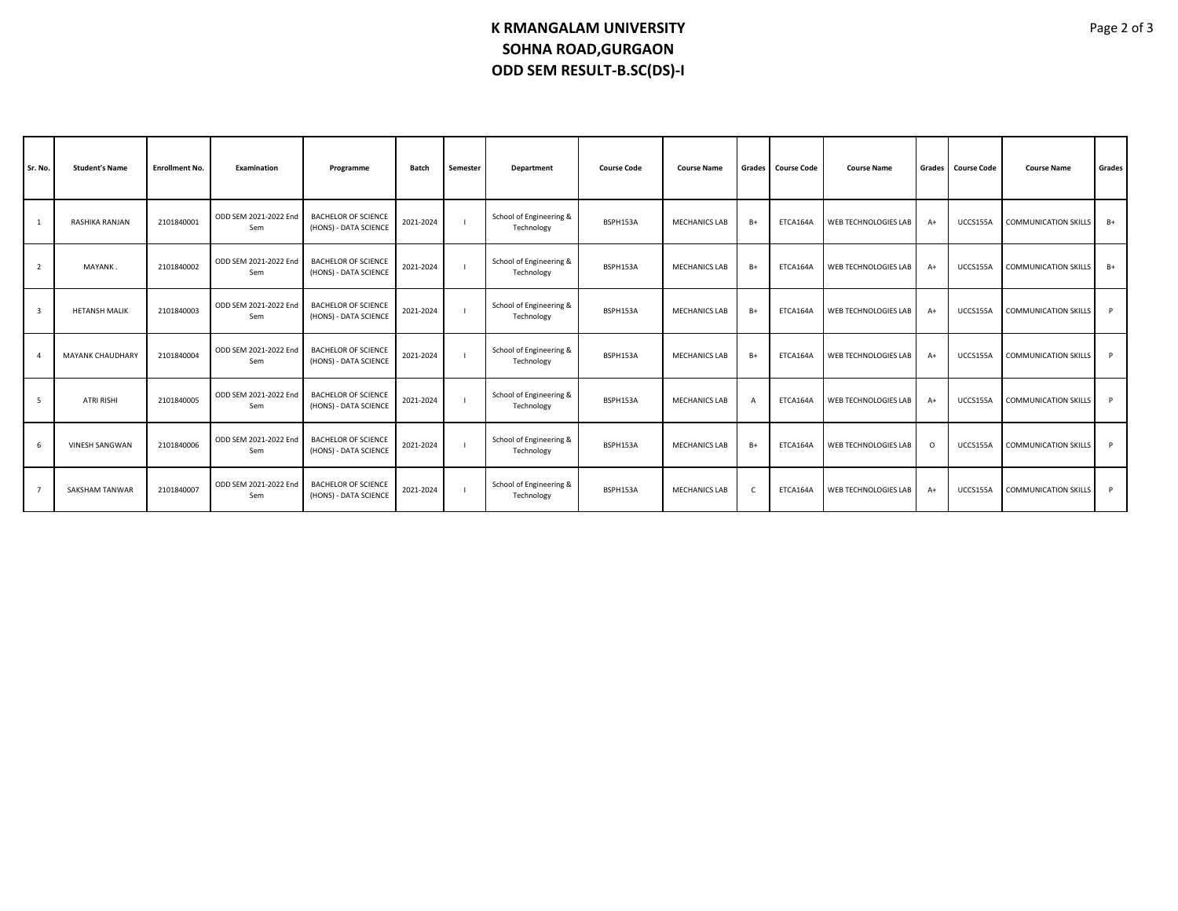## **K RMANGALAM UNIVERSITY SOHNA ROAD,GURGAON ODD SEM RESULT-B.SC(DS)-I**

| Sr. No. | <b>Student's Name</b>   | <b>Enrollment No.</b> | Examination                  | Programme                                           | Batch     | Semester | Department                            | <b>Course Code</b> | <b>Course Name</b>   | Grades                  | <b>Course Code</b> | <b>Course Name</b>          | Grades   | <b>Course Code</b> | <b>Course Name</b>          | Grades |
|---------|-------------------------|-----------------------|------------------------------|-----------------------------------------------------|-----------|----------|---------------------------------------|--------------------|----------------------|-------------------------|--------------------|-----------------------------|----------|--------------------|-----------------------------|--------|
|         | RASHIKA RANJAN          | 2101840001            | ODD SEM 2021-2022 End<br>Sem | <b>BACHELOR OF SCIENCE</b><br>(HONS) - DATA SCIENCE | 2021-2024 |          | School of Engineering &<br>Technology | BSPH153A           | <b>MECHANICS LAB</b> | $B+$                    | ETCA164A           | <b>WEB TECHNOLOGIES LAB</b> | $A+$     | UCCS155A           | <b>COMMUNICATION SKILLS</b> | $B+$   |
|         | MAYANK.                 | 2101840002            | ODD SEM 2021-2022 End<br>Sem | <b>BACHELOR OF SCIENCE</b><br>(HONS) - DATA SCIENCE | 2021-2024 |          | School of Engineering &<br>Technology | BSPH153A           | <b>MECHANICS LAB</b> | $B+$                    | ETCA164A           | WEB TECHNOLOGIES LAB        | $A+$     | UCCS155A           | <b>COMMUNICATION SKILLS</b> | $B+$   |
| 3       | <b>HETANSH MALIK</b>    | 2101840003            | ODD SEM 2021-2022 End<br>Sem | <b>BACHELOR OF SCIENCE</b><br>(HONS) - DATA SCIENCE | 2021-2024 |          | School of Engineering &<br>Technology | BSPH153A           | <b>MECHANICS LAB</b> | $B+$                    | ETCA164A           | WEB TECHNOLOGIES LAB        | $A+$     | UCCS155A           | <b>COMMUNICATION SKILLS</b> | P      |
|         | <b>MAYANK CHAUDHARY</b> | 2101840004            | ODD SEM 2021-2022 End<br>Sem | <b>BACHELOR OF SCIENCE</b><br>(HONS) - DATA SCIENCE | 2021-2024 |          | School of Engineering &<br>Technology | BSPH153A           | <b>MECHANICS LAB</b> | $B+$                    | ETCA164A           | WEB TECHNOLOGIES LAB        | $A+$     | UCCS155A           | <b>COMMUNICATION SKILLS</b> | P      |
| 5       | <b>ATRI RISHI</b>       | 2101840005            | ODD SEM 2021-2022 End<br>Sem | <b>BACHELOR OF SCIENCE</b><br>(HONS) - DATA SCIENCE | 2021-2024 |          | School of Engineering &<br>Technology | BSPH153A           | <b>MECHANICS LAB</b> | $\overline{\mathbf{A}}$ | ETCA164A           | WEB TECHNOLOGIES LAB        | $A+$     | UCCS155A           | <b>COMMUNICATION SKILLS</b> | P      |
|         | <b>VINESH SANGWAN</b>   | 2101840006            | ODD SEM 2021-2022 End<br>Sem | <b>BACHELOR OF SCIENCE</b><br>(HONS) - DATA SCIENCE | 2021-2024 |          | School of Engineering &<br>Technology | BSPH153A           | <b>MECHANICS LAB</b> | $B+$                    | ETCA164A           | <b>WEB TECHNOLOGIES LAB</b> | $\Omega$ | UCCS155A           | <b>COMMUNICATION SKILLS</b> | P      |
|         | <b>SAKSHAM TANWAR</b>   | 2101840007            | ODD SEM 2021-2022 End<br>Sem | <b>BACHELOR OF SCIENCE</b><br>(HONS) - DATA SCIENCE | 2021-2024 |          | School of Engineering &<br>Technology | BSPH153A           | <b>MECHANICS LAB</b> | <sub>c</sub>            | ETCA164A           | WEB TECHNOLOGIES LAB        | $A+$     | UCCS155A           | <b>COMMUNICATION SKILLS</b> | P      |